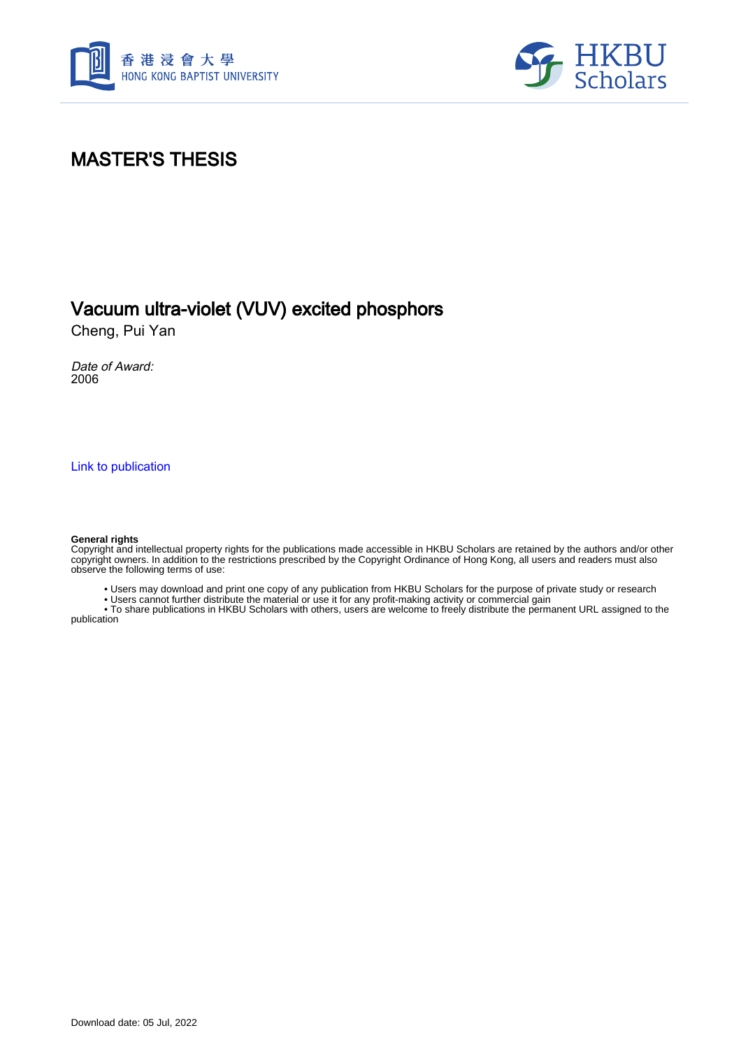



# MASTER'S THESIS

## Vacuum ultra-violet (VUV) excited phosphors

Cheng, Pui Yan

Date of Award: 2006

[Link to publication](https://scholars.hkbu.edu.hk/en/studentTheses/f13ea29c-c8a6-489c-b7fd-08549741b139)

#### **General rights**

Copyright and intellectual property rights for the publications made accessible in HKBU Scholars are retained by the authors and/or other copyright owners. In addition to the restrictions prescribed by the Copyright Ordinance of Hong Kong, all users and readers must also observe the following terms of use:

• Users may download and print one copy of any publication from HKBU Scholars for the purpose of private study or research

• Users cannot further distribute the material or use it for any profit-making activity or commercial gain

 • To share publications in HKBU Scholars with others, users are welcome to freely distribute the permanent URL assigned to the publication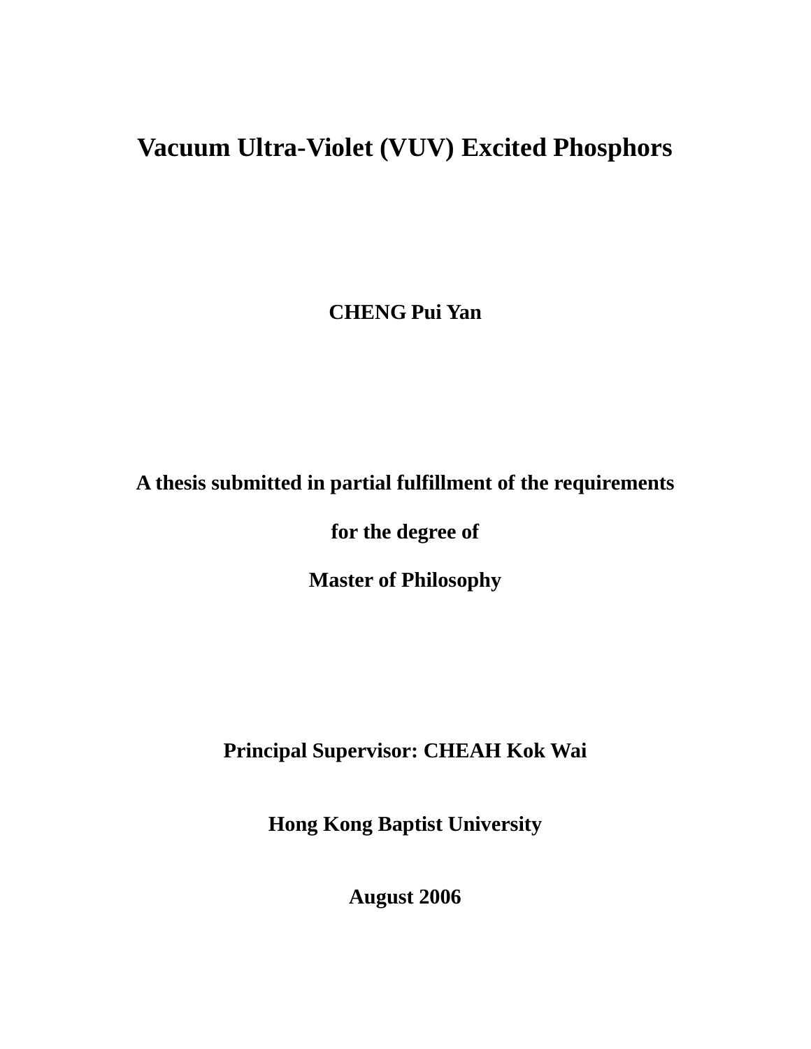# **Vacuum Ultra-Violet (VUV) Excited Phosphors**

**CHENG Pui Yan** 

# **A thesis submitted in partial fulfillment of the requirements**

**for the degree of** 

**Master of Philosophy** 

**Principal Supervisor: CHEAH Kok Wai** 

**Hong Kong Baptist University** 

**August 2006**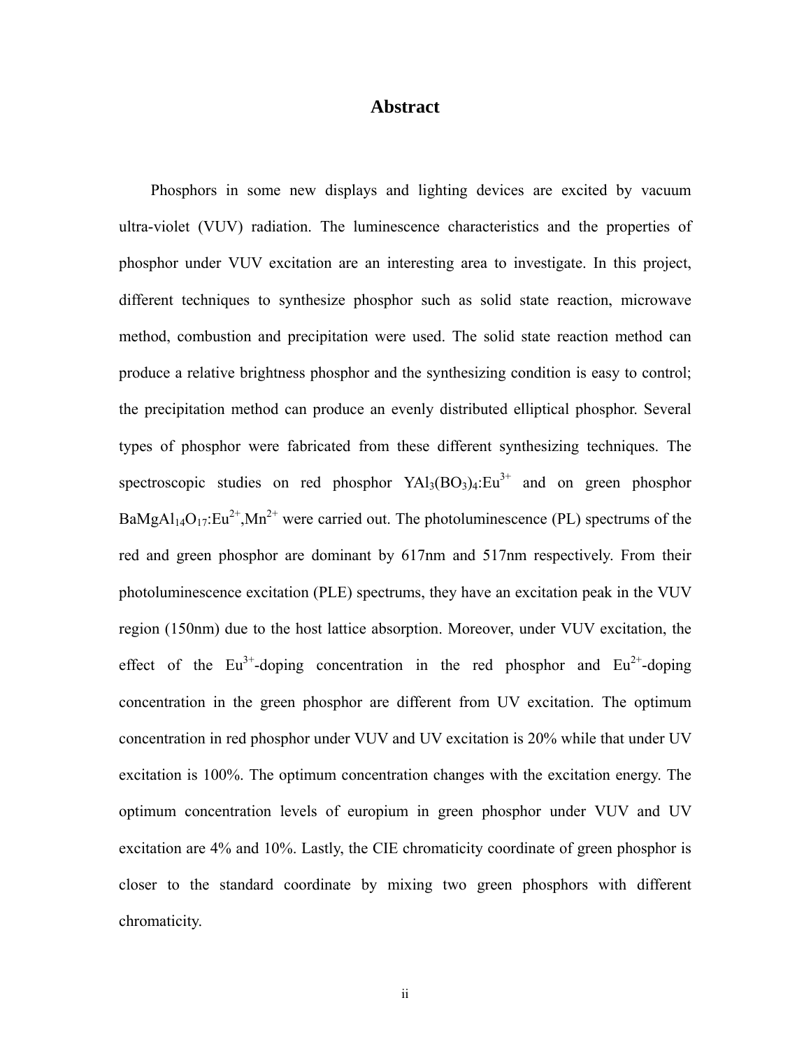### **Abstract**

Phosphors in some new displays and lighting devices are excited by vacuum ultra-violet (VUV) radiation. The luminescence characteristics and the properties of phosphor under VUV excitation are an interesting area to investigate. In this project, different techniques to synthesize phosphor such as solid state reaction, microwave method, combustion and precipitation were used. The solid state reaction method can produce a relative brightness phosphor and the synthesizing condition is easy to control; the precipitation method can produce an evenly distributed elliptical phosphor. Several types of phosphor were fabricated from these different synthesizing techniques. The spectroscopic studies on red phosphor  $YA\rightarrow B_3(BO_3)_4$ : Eu<sup>3+</sup> and on green phosphor  $BaMgAl<sub>14</sub>O<sub>17</sub>:Eu<sup>2+</sup>.Mn<sup>2+</sup>$  were carried out. The photoluminescence (PL) spectrums of the red and green phosphor are dominant by 617nm and 517nm respectively. From their photoluminescence excitation (PLE) spectrums, they have an excitation peak in the VUV region (150nm) due to the host lattice absorption. Moreover, under VUV excitation, the effect of the  $Eu^{3+}$ -doping concentration in the red phosphor and  $Eu^{2+}$ -doping concentration in the green phosphor are different from UV excitation. The optimum concentration in red phosphor under VUV and UV excitation is 20% while that under UV excitation is 100%. The optimum concentration changes with the excitation energy. The optimum concentration levels of europium in green phosphor under VUV and UV excitation are 4% and 10%. Lastly, the CIE chromaticity coordinate of green phosphor is closer to the standard coordinate by mixing two green phosphors with different chromaticity.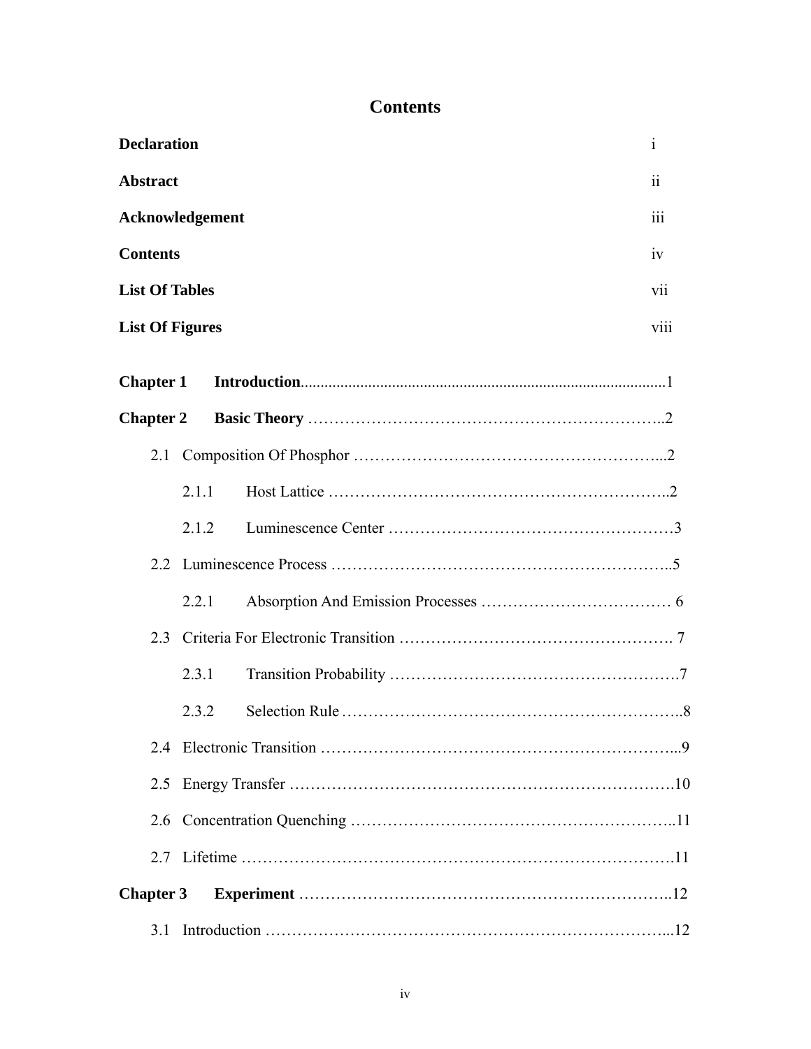# **Contents**

| <b>Declaration</b>             |       |  | Ť   |  |  |
|--------------------------------|-------|--|-----|--|--|
| <b>Abstract</b>                |       |  |     |  |  |
| Acknowledgement                |       |  |     |  |  |
| <b>Contents</b><br>1V          |       |  |     |  |  |
| <b>List Of Tables</b>          |       |  | V11 |  |  |
| viii<br><b>List Of Figures</b> |       |  |     |  |  |
| <b>Chapter 1</b>               |       |  |     |  |  |
| <b>Chapter 2</b>               |       |  |     |  |  |
| 2.1                            |       |  |     |  |  |
|                                | 2.1.1 |  |     |  |  |
|                                | 2.1.2 |  |     |  |  |
| $2.2^{\circ}$                  |       |  |     |  |  |
|                                | 2.2.1 |  |     |  |  |
| 2.3                            |       |  |     |  |  |
|                                | 2.3.1 |  |     |  |  |
|                                | 2.3.2 |  |     |  |  |
| 2.4                            |       |  |     |  |  |
| 2.5                            |       |  |     |  |  |
| 2.6                            |       |  |     |  |  |
|                                |       |  |     |  |  |
| <b>Chapter 3</b>               |       |  |     |  |  |
| 3.1                            |       |  |     |  |  |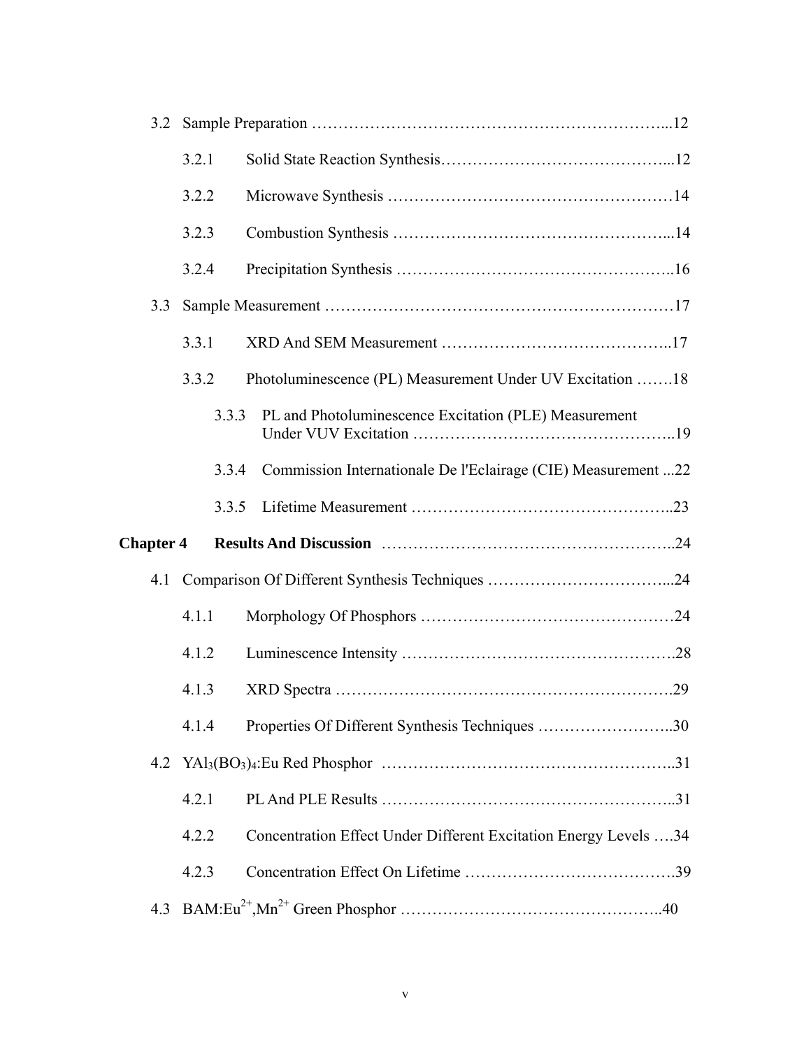| 3.2              |       |                                                                  |  |  |  |
|------------------|-------|------------------------------------------------------------------|--|--|--|
|                  | 3.2.1 |                                                                  |  |  |  |
|                  | 3.2.2 |                                                                  |  |  |  |
|                  | 3.2.3 |                                                                  |  |  |  |
|                  | 3.2.4 |                                                                  |  |  |  |
| 3.3              |       |                                                                  |  |  |  |
|                  | 3.3.1 |                                                                  |  |  |  |
|                  | 3.3.2 | Photoluminescence (PL) Measurement Under UV Excitation 18        |  |  |  |
|                  | 3.3.3 | PL and Photoluminescence Excitation (PLE) Measurement            |  |  |  |
|                  | 3.3.4 | Commission Internationale De l'Eclairage (CIE) Measurement 22    |  |  |  |
|                  | 3.3.5 |                                                                  |  |  |  |
| <b>Chapter 4</b> |       |                                                                  |  |  |  |
|                  |       |                                                                  |  |  |  |
| 4.1              |       |                                                                  |  |  |  |
|                  | 4.1.1 |                                                                  |  |  |  |
|                  | 4.1.2 |                                                                  |  |  |  |
|                  | 4.1.3 |                                                                  |  |  |  |
|                  | 4.1.4 | Properties Of Different Synthesis Techniques 30                  |  |  |  |
|                  |       |                                                                  |  |  |  |
|                  | 4.2.1 |                                                                  |  |  |  |
|                  | 4.2.2 | Concentration Effect Under Different Excitation Energy Levels 34 |  |  |  |
|                  | 4.2.3 |                                                                  |  |  |  |